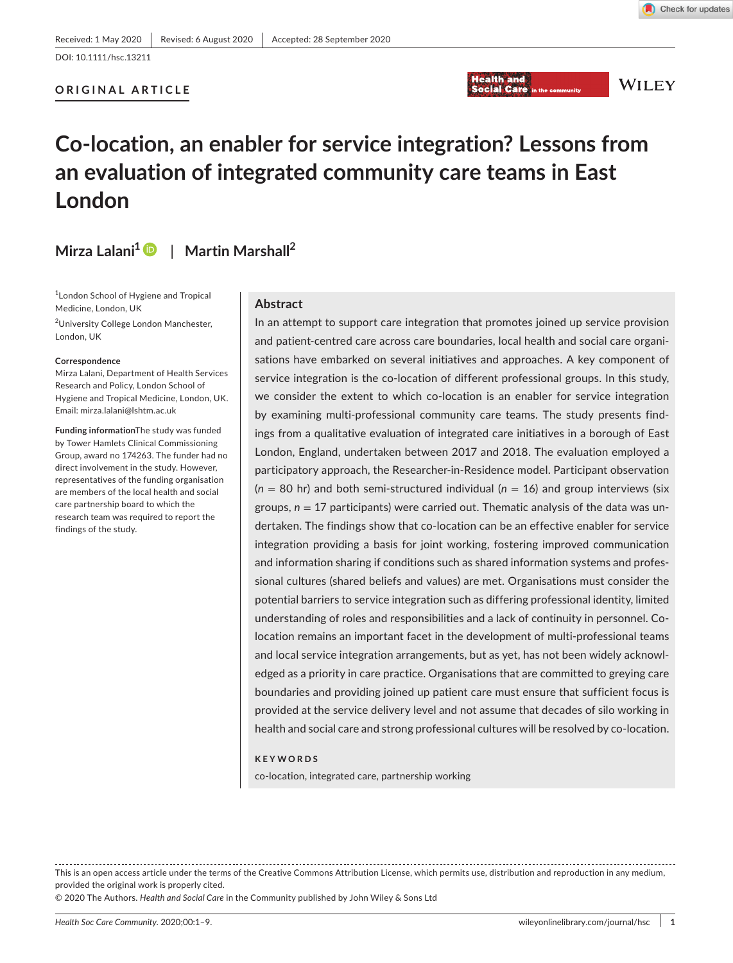DOI: 10.1111/hsc.13211

#### **ORIGINAL ARTICLE**



**WILEY** 

# **Co-location, an enabler for service integration? Lessons from an evaluation of integrated community care teams in East London**

## **Mirza Lalani[1](https://orcid.org/0000-0001-7851-9062)** | **Martin Marshall<sup>2</sup>**

1 London School of Hygiene and Tropical Medicine, London, UK

<sup>2</sup>University College London Manchester, London, UK

#### **Correspondence**

Mirza Lalani, Department of Health Services Research and Policy, London School of Hygiene and Tropical Medicine, London, UK. Email: [mirza.lalani@lshtm.ac.uk](mailto:mirza.lalani@lshtm.ac.uk)

**Funding information**The study was funded by Tower Hamlets Clinical Commissioning Group, award no 174263. The funder had no direct involvement in the study. However, representatives of the funding organisation are members of the local health and social care partnership board to which the research team was required to report the findings of the study.

#### **Abstract**

In an attempt to support care integration that promotes joined up service provision and patient-centred care across care boundaries, local health and social care organisations have embarked on several initiatives and approaches. A key component of service integration is the co-location of different professional groups. In this study, we consider the extent to which co-location is an enabler for service integration by examining multi-professional community care teams. The study presents findings from a qualitative evaluation of integrated care initiatives in a borough of East London, England, undertaken between 2017 and 2018. The evaluation employed a participatory approach, the Researcher-in-Residence model. Participant observation  $(n = 80 \text{ hr})$  and both semi-structured individual  $(n = 16)$  and group interviews (six groups,  $n = 17$  participants) were carried out. Thematic analysis of the data was undertaken. The findings show that co-location can be an effective enabler for service integration providing a basis for joint working, fostering improved communication and information sharing if conditions such as shared information systems and professional cultures (shared beliefs and values) are met. Organisations must consider the potential barriers to service integration such as differing professional identity, limited understanding of roles and responsibilities and a lack of continuity in personnel. Colocation remains an important facet in the development of multi-professional teams and local service integration arrangements, but as yet, has not been widely acknowledged as a priority in care practice. Organisations that are committed to greying care boundaries and providing joined up patient care must ensure that sufficient focus is provided at the service delivery level and not assume that decades of silo working in health and social care and strong professional cultures will be resolved by co-location.

#### **KEYWORDS**

co-location, integrated care, partnership working

This is an open access article under the terms of the [Creative Commons Attribution](http://creativecommons.org/licenses/by/4.0/) License, which permits use, distribution and reproduction in any medium, provided the original work is properly cited.

© 2020 The Authors. *Health and Social Care* in the Community published by John Wiley & Sons Ltd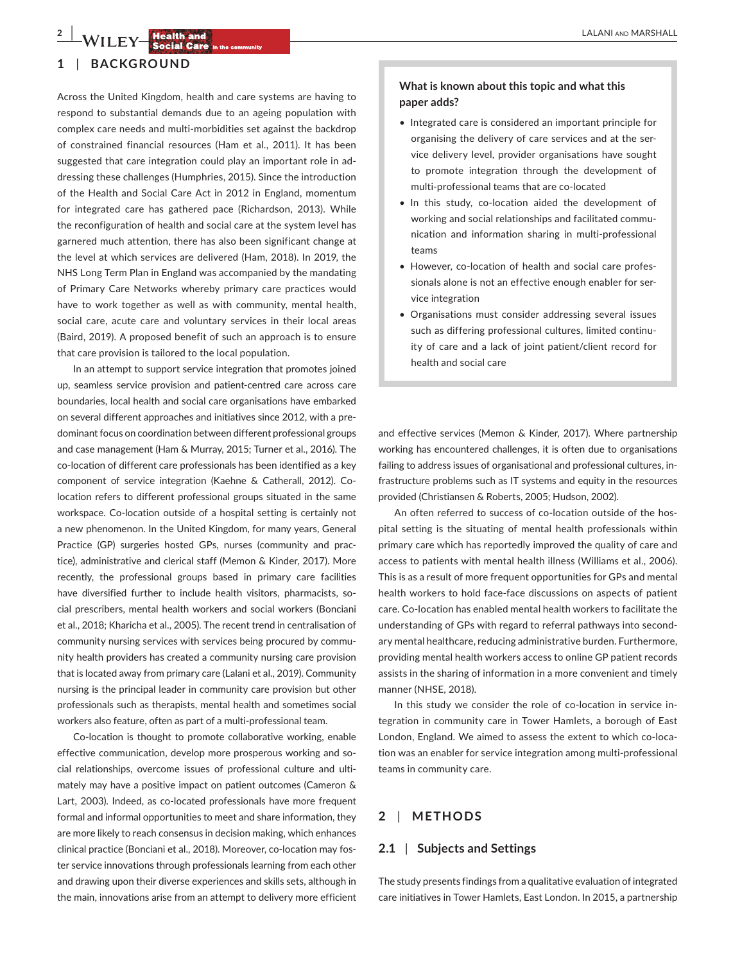## **2 |**  LALANI and MARSHALL

### **1** | **BACKGROUND**

Across the United Kingdom, health and care systems are having to respond to substantial demands due to an ageing population with complex care needs and multi-morbidities set against the backdrop of constrained financial resources (Ham et al., 2011). It has been suggested that care integration could play an important role in addressing these challenges (Humphries, 2015). Since the introduction of the Health and Social Care Act in 2012 in England, momentum for integrated care has gathered pace (Richardson, 2013). While the reconfiguration of health and social care at the system level has garnered much attention, there has also been significant change at the level at which services are delivered (Ham, 2018). In 2019, the NHS Long Term Plan in England was accompanied by the mandating of Primary Care Networks whereby primary care practices would have to work together as well as with community, mental health, social care, acute care and voluntary services in their local areas (Baird, 2019). A proposed benefit of such an approach is to ensure that care provision is tailored to the local population.

In an attempt to support service integration that promotes joined up, seamless service provision and patient-centred care across care boundaries, local health and social care organisations have embarked on several different approaches and initiatives since 2012, with a predominant focus on coordination between different professional groups and case management (Ham & Murray, 2015; Turner et al., 2016). The co-location of different care professionals has been identified as a key component of service integration (Kaehne & Catherall, 2012). Colocation refers to different professional groups situated in the same workspace. Co-location outside of a hospital setting is certainly not a new phenomenon. In the United Kingdom, for many years, General Practice (GP) surgeries hosted GPs, nurses (community and practice), administrative and clerical staff (Memon & Kinder, 2017). More recently, the professional groups based in primary care facilities have diversified further to include health visitors, pharmacists, social prescribers, mental health workers and social workers (Bonciani et al., 2018; Kharicha et al., 2005). The recent trend in centralisation of community nursing services with services being procured by community health providers has created a community nursing care provision that is located away from primary care (Lalani et al., 2019). Community nursing is the principal leader in community care provision but other professionals such as therapists, mental health and sometimes social workers also feature, often as part of a multi-professional team.

Co-location is thought to promote collaborative working, enable effective communication, develop more prosperous working and social relationships, overcome issues of professional culture and ultimately may have a positive impact on patient outcomes (Cameron & Lart, 2003). Indeed, as co-located professionals have more frequent formal and informal opportunities to meet and share information, they are more likely to reach consensus in decision making, which enhances clinical practice (Bonciani et al., 2018). Moreover, co-location may foster service innovations through professionals learning from each other and drawing upon their diverse experiences and skills sets, although in the main, innovations arise from an attempt to delivery more efficient

### **What is known about this topic and what this paper adds?**

- Integrated care is considered an important principle for organising the delivery of care services and at the service delivery level, provider organisations have sought to promote integration through the development of multi-professional teams that are co-located
- In this study, co-location aided the development of working and social relationships and facilitated communication and information sharing in multi-professional teams
- However, co-location of health and social care professionals alone is not an effective enough enabler for service integration
- Organisations must consider addressing several issues such as differing professional cultures, limited continuity of care and a lack of joint patient/client record for health and social care

and effective services (Memon & Kinder, 2017). Where partnership working has encountered challenges, it is often due to organisations failing to address issues of organisational and professional cultures, infrastructure problems such as IT systems and equity in the resources provided (Christiansen & Roberts, 2005; Hudson, 2002).

An often referred to success of co-location outside of the hospital setting is the situating of mental health professionals within primary care which has reportedly improved the quality of care and access to patients with mental health illness (Williams et al., 2006). This is as a result of more frequent opportunities for GPs and mental health workers to hold face-face discussions on aspects of patient care. Co-location has enabled mental health workers to facilitate the understanding of GPs with regard to referral pathways into secondary mental healthcare, reducing administrative burden. Furthermore, providing mental health workers access to online GP patient records assists in the sharing of information in a more convenient and timely manner (NHSE, 2018).

In this study we consider the role of co-location in service integration in community care in Tower Hamlets, a borough of East London, England. We aimed to assess the extent to which co-location was an enabler for service integration among multi-professional teams in community care.

## **2** | **METHODS**

#### **2.1** | **Subjects and Settings**

The study presents findings from a qualitative evaluation of integrated care initiatives in Tower Hamlets, East London. In 2015, a partnership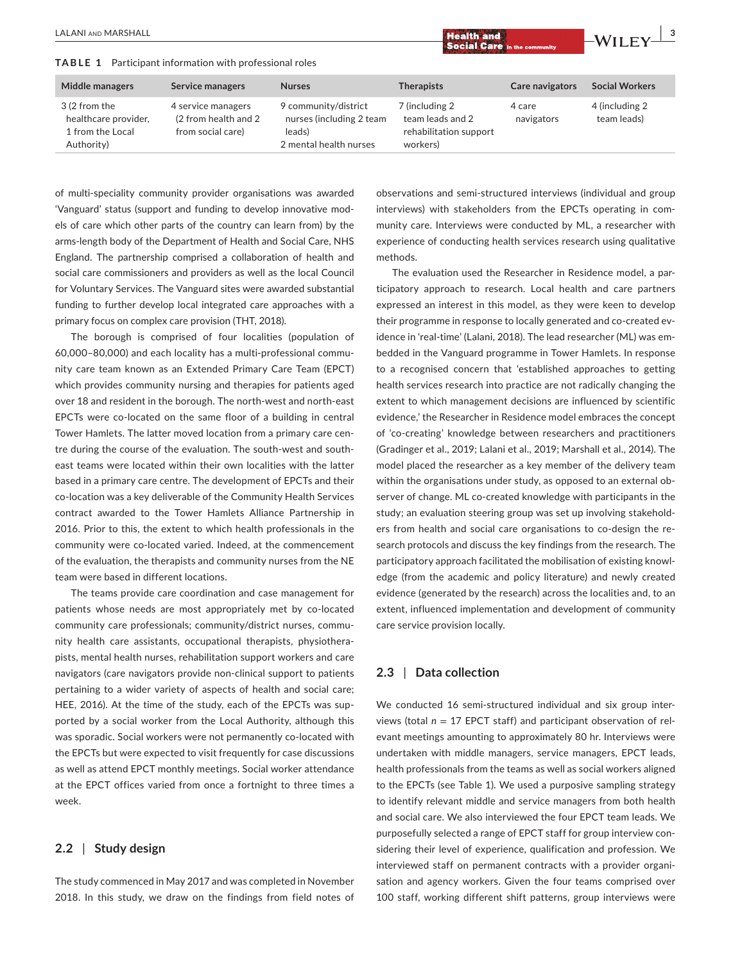**TABLE 1** Participant information with professional roles

of multi-speciality community provider organisations was awarded 'Vanguard' status (support and funding to develop innovative models of care which other parts of the country can learn from) by the arms-length body of the Department of Health and Social Care, NHS England. The partnership comprised a collaboration of health and social care commissioners and providers as well as the local Council for Voluntary Services. The Vanguard sites were awarded substantial funding to further develop local integrated care approaches with a primary focus on complex care provision (THT, 2018).

The borough is comprised of four localities (population of 60,000–80,000) and each locality has a multi-professional community care team known as an Extended Primary Care Team (EPCT) which provides community nursing and therapies for patients aged over 18 and resident in the borough. The north-west and north-east EPCTs were co-located on the same floor of a building in central Tower Hamlets. The latter moved location from a primary care centre during the course of the evaluation. The south-west and southeast teams were located within their own localities with the latter based in a primary care centre. The development of EPCTs and their co-location was a key deliverable of the Community Health Services contract awarded to the Tower Hamlets Alliance Partnership in 2016. Prior to this, the extent to which health professionals in the community were co-located varied. Indeed, at the commencement of the evaluation, the therapists and community nurses from the NE team were based in different locations.

The teams provide care coordination and case management for patients whose needs are most appropriately met by co-located community care professionals; community/district nurses, community health care assistants, occupational therapists, physiotherapists, mental health nurses, rehabilitation support workers and care navigators (care navigators provide non-clinical support to patients pertaining to a wider variety of aspects of health and social care; HEE, 2016). At the time of the study, each of the EPCTs was supported by a social worker from the Local Authority, although this was sporadic. Social workers were not permanently co-located with the EPCTs but were expected to visit frequently for case discussions as well as attend EPCT monthly meetings. Social worker attendance at the EPCT offices varied from once a fortnight to three times a week.

#### **2.2** | **Study design**

The study commenced in May 2017 and was completed in November 2018. In this study, we draw on the findings from field notes of observations and semi-structured interviews (individual and group interviews) with stakeholders from the EPCTs operating in community care. Interviews were conducted by ML, a researcher with experience of conducting health services research using qualitative methods.

The evaluation used the Researcher in Residence model, a participatory approach to research. Local health and care partners expressed an interest in this model, as they were keen to develop their programme in response to locally generated and co-created evidence in 'real-time' (Lalani, 2018). The lead researcher (ML) was embedded in the Vanguard programme in Tower Hamlets. In response to a recognised concern that 'established approaches to getting health services research into practice are not radically changing the extent to which management decisions are influenced by scientific evidence,' the Researcher in Residence model embraces the concept of 'co-creating' knowledge between researchers and practitioners (Gradinger et al., 2019; Lalani et al., 2019; Marshall et al., 2014). The model placed the researcher as a key member of the delivery team within the organisations under study, as opposed to an external observer of change. ML co-created knowledge with participants in the study; an evaluation steering group was set up involving stakeholders from health and social care organisations to co-design the research protocols and discuss the key findings from the research. The participatory approach facilitated the mobilisation of existing knowledge (from the academic and policy literature) and newly created evidence (generated by the research) across the localities and, to an extent, influenced implementation and development of community care service provision locally.

#### **2.3** | **Data collection**

We conducted 16 semi-structured individual and six group interviews (total *n* = 17 EPCT staff) and participant observation of relevant meetings amounting to approximately 80 hr. Interviews were undertaken with middle managers, service managers, EPCT leads, health professionals from the teams as well as social workers aligned to the EPCTs (see Table 1). We used a purposive sampling strategy to identify relevant middle and service managers from both health and social care. We also interviewed the four EPCT team leads. We purposefully selected a range of EPCT staff for group interview considering their level of experience, qualification and profession. We interviewed staff on permanent contracts with a provider organisation and agency workers. Given the four teams comprised over 100 staff, working different shift patterns, group interviews were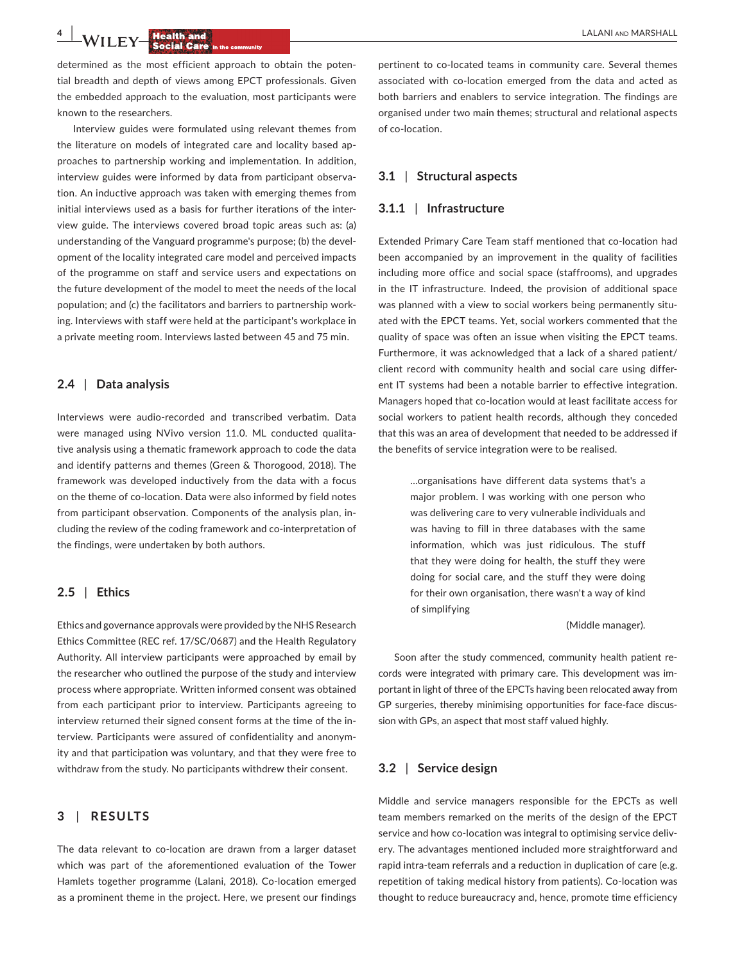**4**  $\frac{1}{2}$  $\frac{1}{2}$  $\frac{1}{2}$  $\frac{1}{2}$  $\frac{1}{2}$  $\frac{1}{2}$  $\frac{1}{2}$  $\frac{1}{2}$  $\frac{1}{2}$  $\frac{1}{2}$  $\frac{1}{2}$  $\frac{1}{2}$  $\frac{1}{2}$  $\frac{1}{2}$  $\frac{1}{2}$  $\frac{1}{2}$  $\frac{1}{2}$  $\frac{1}{2}$  $\frac{1}{2}$  $\frac{1}{2}$  $\frac{1}{2}$  $\frac{1}{2}$ 

determined as the most efficient approach to obtain the potential breadth and depth of views among EPCT professionals. Given the embedded approach to the evaluation, most participants were known to the researchers.

Interview guides were formulated using relevant themes from the literature on models of integrated care and locality based approaches to partnership working and implementation. In addition, interview guides were informed by data from participant observation. An inductive approach was taken with emerging themes from initial interviews used as a basis for further iterations of the interview guide. The interviews covered broad topic areas such as: (a) understanding of the Vanguard programme's purpose; (b) the development of the locality integrated care model and perceived impacts of the programme on staff and service users and expectations on the future development of the model to meet the needs of the local population; and (c) the facilitators and barriers to partnership working. Interviews with staff were held at the participant's workplace in a private meeting room. Interviews lasted between 45 and 75 min.

#### **2.4** | **Data analysis**

Interviews were audio-recorded and transcribed verbatim. Data were managed using NVivo version 11.0. ML conducted qualitative analysis using a thematic framework approach to code the data and identify patterns and themes (Green & Thorogood, 2018). The framework was developed inductively from the data with a focus on the theme of co-location. Data were also informed by field notes from participant observation. Components of the analysis plan, including the review of the coding framework and co-interpretation of the findings, were undertaken by both authors.

#### **2.5** | **Ethics**

Ethics and governance approvals were provided by the NHS Research Ethics Committee (REC ref. 17/SC/0687) and the Health Regulatory Authority. All interview participants were approached by email by the researcher who outlined the purpose of the study and interview process where appropriate. Written informed consent was obtained from each participant prior to interview. Participants agreeing to interview returned their signed consent forms at the time of the interview. Participants were assured of confidentiality and anonymity and that participation was voluntary, and that they were free to withdraw from the study. No participants withdrew their consent.

## **3** | **RESULTS**

The data relevant to co-location are drawn from a larger dataset which was part of the aforementioned evaluation of the Tower Hamlets together programme (Lalani, 2018). Co-location emerged as a prominent theme in the project. Here, we present our findings

pertinent to co-located teams in community care. Several themes associated with co-location emerged from the data and acted as both barriers and enablers to service integration. The findings are organised under two main themes; structural and relational aspects of co-location.

#### **3.1** | **Structural aspects**

#### **3.1.1** | **Infrastructure**

Extended Primary Care Team staff mentioned that co-location had been accompanied by an improvement in the quality of facilities including more office and social space (staffrooms), and upgrades in the IT infrastructure. Indeed, the provision of additional space was planned with a view to social workers being permanently situated with the EPCT teams. Yet, social workers commented that the quality of space was often an issue when visiting the EPCT teams. Furthermore, it was acknowledged that a lack of a shared patient/ client record with community health and social care using different IT systems had been a notable barrier to effective integration. Managers hoped that co-location would at least facilitate access for social workers to patient health records, although they conceded that this was an area of development that needed to be addressed if the benefits of service integration were to be realised.

> …organisations have different data systems that's a major problem. I was working with one person who was delivering care to very vulnerable individuals and was having to fill in three databases with the same information, which was just ridiculous. The stuff that they were doing for health, the stuff they were doing for social care, and the stuff they were doing for their own organisation, there wasn't a way of kind of simplifying

> > (Middle manager).

Soon after the study commenced, community health patient records were integrated with primary care. This development was important in light of three of the EPCTs having been relocated away from GP surgeries, thereby minimising opportunities for face-face discussion with GPs, an aspect that most staff valued highly.

#### **3.2** | **Service design**

Middle and service managers responsible for the EPCTs as well team members remarked on the merits of the design of the EPCT service and how co-location was integral to optimising service delivery. The advantages mentioned included more straightforward and rapid intra-team referrals and a reduction in duplication of care (e.g. repetition of taking medical history from patients). Co-location was thought to reduce bureaucracy and, hence, promote time efficiency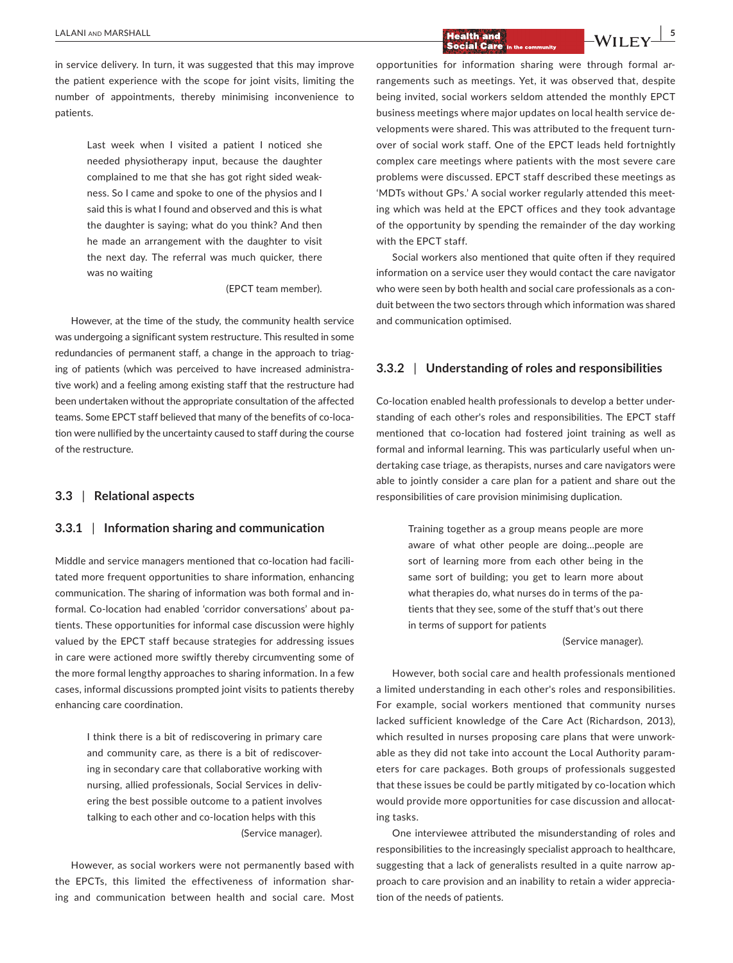## **LALANI AND MARSHALL 5**<br> **EXALANI** AND MARSHALL **EXALL SECTION CALL SOCIAL CARE** in the community

in service delivery. In turn, it was suggested that this may improve the patient experience with the scope for joint visits, limiting the number of appointments, thereby minimising inconvenience to patients.

> Last week when I visited a patient I noticed she needed physiotherapy input, because the daughter complained to me that she has got right sided weakness. So I came and spoke to one of the physios and I said this is what I found and observed and this is what the daughter is saying; what do you think? And then he made an arrangement with the daughter to visit the next day. The referral was much quicker, there was no waiting

> > (EPCT team member).

However, at the time of the study, the community health service was undergoing a significant system restructure. This resulted in some redundancies of permanent staff, a change in the approach to triaging of patients (which was perceived to have increased administrative work) and a feeling among existing staff that the restructure had been undertaken without the appropriate consultation of the affected teams. Some EPCT staff believed that many of the benefits of co-location were nullified by the uncertainty caused to staff during the course of the restructure.

#### **3.3** | **Relational aspects**

#### **3.3.1** | **Information sharing and communication**

Middle and service managers mentioned that co-location had facilitated more frequent opportunities to share information, enhancing communication. The sharing of information was both formal and informal. Co-location had enabled 'corridor conversations' about patients. These opportunities for informal case discussion were highly valued by the EPCT staff because strategies for addressing issues in care were actioned more swiftly thereby circumventing some of the more formal lengthy approaches to sharing information. In a few cases, informal discussions prompted joint visits to patients thereby enhancing care coordination.

> I think there is a bit of rediscovering in primary care and community care, as there is a bit of rediscovering in secondary care that collaborative working with nursing, allied professionals, Social Services in delivering the best possible outcome to a patient involves talking to each other and co-location helps with this (Service manager).

However, as social workers were not permanently based with the EPCTs, this limited the effectiveness of information sharing and communication between health and social care. Most opportunities for information sharing were through formal arrangements such as meetings. Yet, it was observed that, despite being invited, social workers seldom attended the monthly EPCT business meetings where major updates on local health service developments were shared. This was attributed to the frequent turnover of social work staff. One of the EPCT leads held fortnightly complex care meetings where patients with the most severe care problems were discussed. EPCT staff described these meetings as 'MDTs without GPs.' A social worker regularly attended this meeting which was held at the EPCT offices and they took advantage of the opportunity by spending the remainder of the day working with the EPCT staff.

Social workers also mentioned that quite often if they required information on a service user they would contact the care navigator who were seen by both health and social care professionals as a conduit between the two sectors through which information was shared and communication optimised.

#### **3.3.2** | **Understanding of roles and responsibilities**

Co-location enabled health professionals to develop a better understanding of each other's roles and responsibilities. The EPCT staff mentioned that co-location had fostered joint training as well as formal and informal learning. This was particularly useful when undertaking case triage, as therapists, nurses and care navigators were able to jointly consider a care plan for a patient and share out the responsibilities of care provision minimising duplication.

> Training together as a group means people are more aware of what other people are doing…people are sort of learning more from each other being in the same sort of building; you get to learn more about what therapies do, what nurses do in terms of the patients that they see, some of the stuff that's out there in terms of support for patients

> > (Service manager).

However, both social care and health professionals mentioned a limited understanding in each other's roles and responsibilities. For example, social workers mentioned that community nurses lacked sufficient knowledge of the Care Act (Richardson, 2013), which resulted in nurses proposing care plans that were unworkable as they did not take into account the Local Authority parameters for care packages. Both groups of professionals suggested that these issues be could be partly mitigated by co-location which would provide more opportunities for case discussion and allocating tasks.

One interviewee attributed the misunderstanding of roles and responsibilities to the increasingly specialist approach to healthcare, suggesting that a lack of generalists resulted in a quite narrow approach to care provision and an inability to retain a wider appreciation of the needs of patients.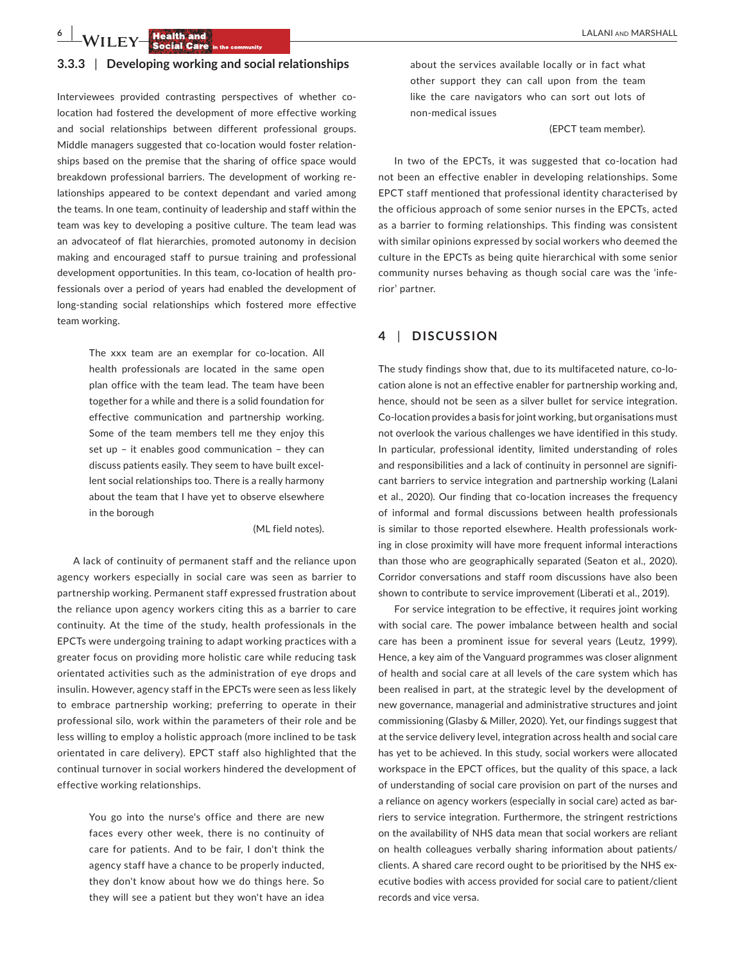**6 |**  LALANI and MARSHALL

#### **3.3.3** | **Developing working and social relationships**

Interviewees provided contrasting perspectives of whether colocation had fostered the development of more effective working and social relationships between different professional groups. Middle managers suggested that co-location would foster relationships based on the premise that the sharing of office space would breakdown professional barriers. The development of working relationships appeared to be context dependant and varied among the teams. In one team, continuity of leadership and staff within the team was key to developing a positive culture. The team lead was an advocateof of flat hierarchies, promoted autonomy in decision making and encouraged staff to pursue training and professional development opportunities. In this team, co-location of health professionals over a period of years had enabled the development of long-standing social relationships which fostered more effective team working.

> The xxx team are an exemplar for co-location. All health professionals are located in the same open plan office with the team lead. The team have been together for a while and there is a solid foundation for effective communication and partnership working. Some of the team members tell me they enjoy this set up – it enables good communication – they can discuss patients easily. They seem to have built excellent social relationships too. There is a really harmony about the team that I have yet to observe elsewhere in the borough

> > (ML field notes).

A lack of continuity of permanent staff and the reliance upon agency workers especially in social care was seen as barrier to partnership working. Permanent staff expressed frustration about the reliance upon agency workers citing this as a barrier to care continuity. At the time of the study, health professionals in the EPCTs were undergoing training to adapt working practices with a greater focus on providing more holistic care while reducing task orientated activities such as the administration of eye drops and insulin. However, agency staff in the EPCTs were seen as less likely to embrace partnership working; preferring to operate in their professional silo, work within the parameters of their role and be less willing to employ a holistic approach (more inclined to be task orientated in care delivery). EPCT staff also highlighted that the continual turnover in social workers hindered the development of effective working relationships.

> You go into the nurse's office and there are new faces every other week, there is no continuity of care for patients. And to be fair, I don't think the agency staff have a chance to be properly inducted, they don't know about how we do things here. So they will see a patient but they won't have an idea

about the services available locally or in fact what other support they can call upon from the team like the care navigators who can sort out lots of non-medical issues

(EPCT team member).

In two of the EPCTs, it was suggested that co-location had not been an effective enabler in developing relationships. Some EPCT staff mentioned that professional identity characterised by the officious approach of some senior nurses in the EPCTs, acted as a barrier to forming relationships. This finding was consistent with similar opinions expressed by social workers who deemed the culture in the EPCTs as being quite hierarchical with some senior community nurses behaving as though social care was the 'inferior' partner.

#### **4** | **DISCUSSION**

The study findings show that, due to its multifaceted nature, co-location alone is not an effective enabler for partnership working and, hence, should not be seen as a silver bullet for service integration. Co-location provides a basis for joint working, but organisations must not overlook the various challenges we have identified in this study. In particular, professional identity, limited understanding of roles and responsibilities and a lack of continuity in personnel are significant barriers to service integration and partnership working (Lalani et al., 2020). Our finding that co-location increases the frequency of informal and formal discussions between health professionals is similar to those reported elsewhere. Health professionals working in close proximity will have more frequent informal interactions than those who are geographically separated (Seaton et al., 2020). Corridor conversations and staff room discussions have also been shown to contribute to service improvement (Liberati et al., 2019).

For service integration to be effective, it requires joint working with social care. The power imbalance between health and social care has been a prominent issue for several years (Leutz, 1999). Hence, a key aim of the Vanguard programmes was closer alignment of health and social care at all levels of the care system which has been realised in part, at the strategic level by the development of new governance, managerial and administrative structures and joint commissioning (Glasby & Miller, 2020). Yet, our findings suggest that at the service delivery level, integration across health and social care has yet to be achieved. In this study, social workers were allocated workspace in the EPCT offices, but the quality of this space, a lack of understanding of social care provision on part of the nurses and a reliance on agency workers (especially in social care) acted as barriers to service integration. Furthermore, the stringent restrictions on the availability of NHS data mean that social workers are reliant on health colleagues verbally sharing information about patients/ clients. A shared care record ought to be prioritised by the NHS executive bodies with access provided for social care to patient/client records and vice versa.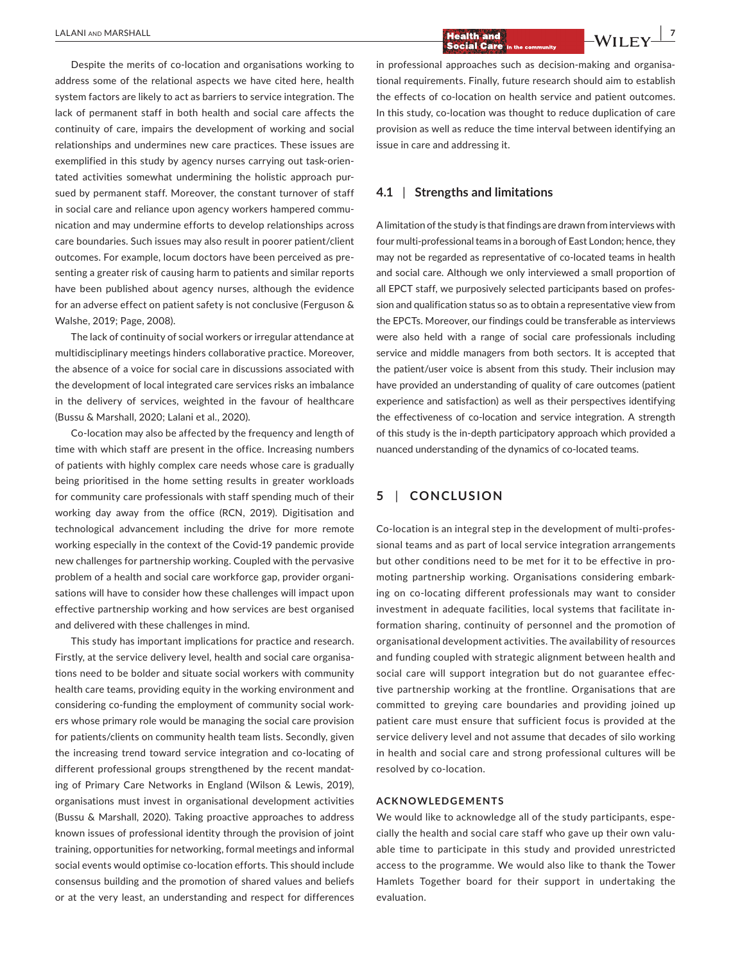Despite the merits of co-location and organisations working to address some of the relational aspects we have cited here, health system factors are likely to act as barriers to service integration. The lack of permanent staff in both health and social care affects the continuity of care, impairs the development of working and social relationships and undermines new care practices. These issues are exemplified in this study by agency nurses carrying out task-orientated activities somewhat undermining the holistic approach pursued by permanent staff. Moreover, the constant turnover of staff in social care and reliance upon agency workers hampered communication and may undermine efforts to develop relationships across care boundaries. Such issues may also result in poorer patient/client outcomes. For example, locum doctors have been perceived as presenting a greater risk of causing harm to patients and similar reports have been published about agency nurses, although the evidence for an adverse effect on patient safety is not conclusive (Ferguson & Walshe, 2019; Page, 2008).

The lack of continuity of social workers or irregular attendance at multidisciplinary meetings hinders collaborative practice. Moreover, the absence of a voice for social care in discussions associated with the development of local integrated care services risks an imbalance in the delivery of services, weighted in the favour of healthcare (Bussu & Marshall, 2020; Lalani et al., 2020).

Co-location may also be affected by the frequency and length of time with which staff are present in the office. Increasing numbers of patients with highly complex care needs whose care is gradually being prioritised in the home setting results in greater workloads for community care professionals with staff spending much of their working day away from the office (RCN, 2019). Digitisation and technological advancement including the drive for more remote working especially in the context of the Covid-19 pandemic provide new challenges for partnership working. Coupled with the pervasive problem of a health and social care workforce gap, provider organisations will have to consider how these challenges will impact upon effective partnership working and how services are best organised and delivered with these challenges in mind.

This study has important implications for practice and research. Firstly, at the service delivery level, health and social care organisations need to be bolder and situate social workers with community health care teams, providing equity in the working environment and considering co-funding the employment of community social workers whose primary role would be managing the social care provision for patients/clients on community health team lists. Secondly, given the increasing trend toward service integration and co-locating of different professional groups strengthened by the recent mandating of Primary Care Networks in England (Wilson & Lewis, 2019), organisations must invest in organisational development activities (Bussu & Marshall, 2020). Taking proactive approaches to address known issues of professional identity through the provision of joint training, opportunities for networking, formal meetings and informal social events would optimise co-location efforts. This should include consensus building and the promotion of shared values and beliefs or at the very least, an understanding and respect for differences

 **LALANI AND MARSHALL** *I* **LALANI AND MARSHALL** *<b>* 

in professional approaches such as decision-making and organisational requirements. Finally, future research should aim to establish the effects of co-location on health service and patient outcomes. In this study, co-location was thought to reduce duplication of care provision as well as reduce the time interval between identifying an issue in care and addressing it.

## **4.1** | **Strengths and limitations**

A limitation of the study is that findings are drawn from interviews with four multi-professional teams in a borough of East London; hence, they may not be regarded as representative of co-located teams in health and social care. Although we only interviewed a small proportion of all EPCT staff, we purposively selected participants based on profession and qualification status so as to obtain a representative view from the EPCTs. Moreover, our findings could be transferable as interviews were also held with a range of social care professionals including service and middle managers from both sectors. It is accepted that the patient/user voice is absent from this study. Their inclusion may have provided an understanding of quality of care outcomes (patient experience and satisfaction) as well as their perspectives identifying the effectiveness of co-location and service integration. A strength of this study is the in-depth participatory approach which provided a nuanced understanding of the dynamics of co-located teams.

### **5** | **CONCLUSION**

Co-location is an integral step in the development of multi-professional teams and as part of local service integration arrangements but other conditions need to be met for it to be effective in promoting partnership working. Organisations considering embarking on co-locating different professionals may want to consider investment in adequate facilities, local systems that facilitate information sharing, continuity of personnel and the promotion of organisational development activities. The availability of resources and funding coupled with strategic alignment between health and social care will support integration but do not guarantee effective partnership working at the frontline. Organisations that are committed to greying care boundaries and providing joined up patient care must ensure that sufficient focus is provided at the service delivery level and not assume that decades of silo working in health and social care and strong professional cultures will be resolved by co-location.

#### **ACKNOWLEDGEMENTS**

We would like to acknowledge all of the study participants, especially the health and social care staff who gave up their own valuable time to participate in this study and provided unrestricted access to the programme. We would also like to thank the Tower Hamlets Together board for their support in undertaking the evaluation.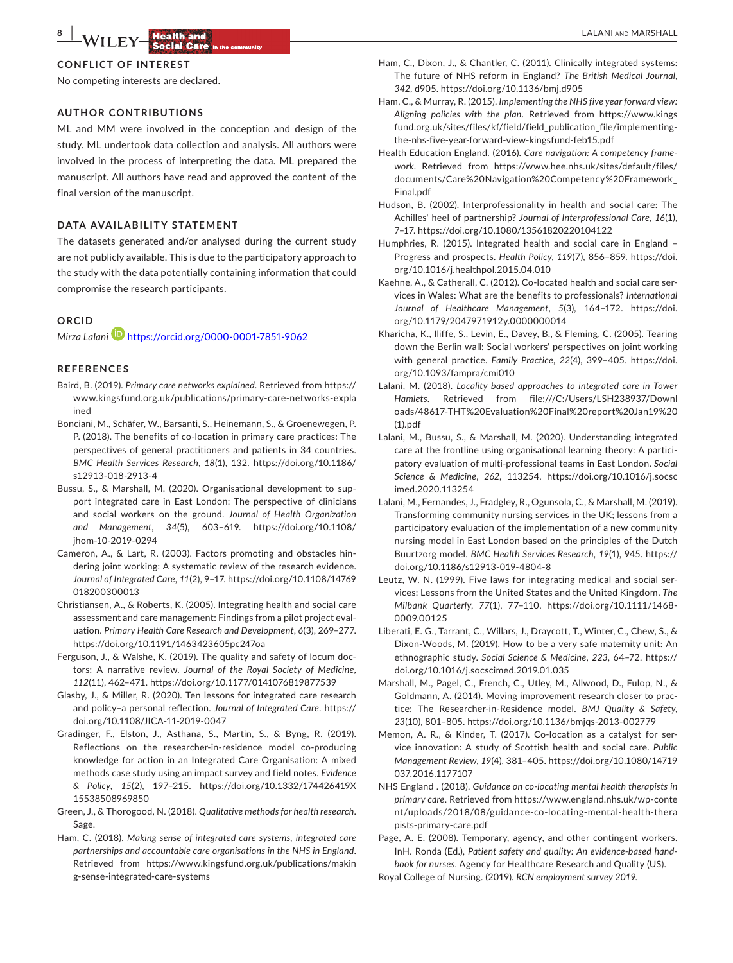#### **CONFLICT OF INTEREST**

No competing interests are declared.

#### **AUTHOR CONTRIBUTIONS**

ML and MM were involved in the conception and design of the study. ML undertook data collection and analysis. All authors were involved in the process of interpreting the data. ML prepared the manuscript. All authors have read and approved the content of the final version of the manuscript.

#### **DATA AVAILABILITY STATEMENT**

The datasets generated and/or analysed during the current study are not publicly available. This is due to the participatory approach to the study with the data potentially containing information that could compromise the research participants.

#### **ORCID**

*Mirza Lalani* <https://orcid.org/0000-0001-7851-9062>

#### **REFERENCES**

- Baird, B. (2019). *Primary care networks explained*. Retrieved from [https://](https://www.kingsfund.org.uk/publications/primary-care-networks-explained) [www.kingsfund.org.uk/publications/primary-care-networks-expla](https://www.kingsfund.org.uk/publications/primary-care-networks-explained) [ined](https://www.kingsfund.org.uk/publications/primary-care-networks-explained)
- Bonciani, M., Schäfer, W., Barsanti, S., Heinemann, S., & Groenewegen, P. P. (2018). The benefits of co-location in primary care practices: The perspectives of general practitioners and patients in 34 countries. *BMC Health Services Research*, *18*(1), 132. [https://doi.org/10.1186/](https://doi.org/10.1186/s12913-018-2913-4) [s12913-018-2913-4](https://doi.org/10.1186/s12913-018-2913-4)
- Bussu, S., & Marshall, M. (2020). Organisational development to support integrated care in East London: The perspective of clinicians and social workers on the ground. *Journal of Health Organization and Management*, *34*(5), 603–619. [https://doi.org/10.1108/](https://doi.org/10.1108/jhom-10-2019-0294) [jhom-10-2019-0294](https://doi.org/10.1108/jhom-10-2019-0294)
- Cameron, A., & Lart, R. (2003). Factors promoting and obstacles hindering joint working: A systematic review of the research evidence. *Journal of Integrated Care*, *11*(2), 9–17. [https://doi.org/10.1108/14769](https://doi.org/10.1108/14769018200300013) [018200300013](https://doi.org/10.1108/14769018200300013)
- Christiansen, A., & Roberts, K. (2005). Integrating health and social care assessment and care management: Findings from a pilot project evaluation. *Primary Health Care Research and Development*, *6*(3), 269–277. <https://doi.org/10.1191/1463423605pc247oa>
- Ferguson, J., & Walshe, K. (2019). The quality and safety of locum doctors: A narrative review. *Journal of the Royal Society of Medicine*, *112*(11), 462–471.<https://doi.org/10.1177/0141076819877539>
- Glasby, J., & Miller, R. (2020). Ten lessons for integrated care research and policy–a personal reflection. *Journal of Integrated Care*. [https://](https://doi.org/10.1108/JICA-11-2019-0047) [doi.org/10.1108/JICA-11-2019-0047](https://doi.org/10.1108/JICA-11-2019-0047)
- Gradinger, F., Elston, J., Asthana, S., Martin, S., & Byng, R. (2019). Reflections on the researcher-in-residence model co-producing knowledge for action in an Integrated Care Organisation: A mixed methods case study using an impact survey and field notes. *Evidence & Policy*, *15*(2), 197–215. [https://doi.org/10.1332/174426419X](https://doi.org/10.1332/174426419X15538508969850) [15538508969850](https://doi.org/10.1332/174426419X15538508969850)
- Green, J., & Thorogood, N. (2018). *Qualitative methods for health research*. Sage.
- Ham, C. (2018). *Making sense of integrated care systems, integrated care partnerships and accountable care organisations in the NHS in England*. Retrieved from [https://www.kingsfund.org.uk/publications/makin](https://www.kingsfund.org.uk/publications/making-sense-integrated-care-systems) [g-sense-integrated-care-systems](https://www.kingsfund.org.uk/publications/making-sense-integrated-care-systems)
- Ham, C., Dixon, J., & Chantler, C. (2011). Clinically integrated systems: The future of NHS reform in England? *The British Medical Journal*, *342*, d905.<https://doi.org/10.1136/bmj.d905>
- Ham, C., & Murray, R. (2015). *Implementing the NHS five year forward view: Aligning policies with the plan*. Retrieved from [https://www.kings](https://www.kingsfund.org.uk/sites/files/kf/field/field_publication_file/implementing-the-nhs-five-year-forward-view-kingsfund-feb15.pdf) [fund.org.uk/sites/files/kf/field/field\\_publication\\_file/implementing](https://www.kingsfund.org.uk/sites/files/kf/field/field_publication_file/implementing-the-nhs-five-year-forward-view-kingsfund-feb15.pdf)[the-nhs-five-year-forward-view-kingsfund-feb15.pdf](https://www.kingsfund.org.uk/sites/files/kf/field/field_publication_file/implementing-the-nhs-five-year-forward-view-kingsfund-feb15.pdf)
- Health Education England. (2016). *Care navigation: A competency framework*. Retrieved from [https://www.hee.nhs.uk/sites/default/files/](https://www.hee.nhs.uk/sites/default/files/documents/Care Navigation Competency Framework_Final.pdf) [documents/Care%20Navigation%20Competency%20Framework\\_](https://www.hee.nhs.uk/sites/default/files/documents/Care Navigation Competency Framework_Final.pdf) [Final.pdf](https://www.hee.nhs.uk/sites/default/files/documents/Care Navigation Competency Framework_Final.pdf)
- Hudson, B. (2002). Interprofessionality in health and social care: The Achilles' heel of partnership? *Journal of Interprofessional Care*, *16*(1), 7–17. <https://doi.org/10.1080/13561820220104122>
- Humphries, R. (2015). Integrated health and social care in England Progress and prospects. *Health Policy*, *119*(7), 856–859. [https://doi.](https://doi.org/10.1016/j.healthpol.2015.04.010) [org/10.1016/j.healthpol.2015.04.010](https://doi.org/10.1016/j.healthpol.2015.04.010)
- Kaehne, A., & Catherall, C. (2012). Co-located health and social care services in Wales: What are the benefits to professionals? *International Journal of Healthcare Management*, *5*(3), 164–172. [https://doi.](https://doi.org/10.1179/2047971912y.0000000014) [org/10.1179/2047971912y.0000000014](https://doi.org/10.1179/2047971912y.0000000014)
- Kharicha, K., Iliffe, S., Levin, E., Davey, B., & Fleming, C. (2005). Tearing down the Berlin wall: Social workers' perspectives on joint working with general practice. *Family Practice*, *22*(4), 399–405. [https://doi.](https://doi.org/10.1093/fampra/cmi010) [org/10.1093/fampra/cmi010](https://doi.org/10.1093/fampra/cmi010)
- Lalani, M. (2018). *Locality based approaches to integrated care in Tower Hamlets*. Retrieved from [file:///C:/Users/LSH238937/Downl](http://file:///C:/Users/LSH238937/Downloads/48617-THT Evaluation Final report Jan19 (1).pdf) [oads/48617-THT%20Evaluation%20Final%20report%20Jan19%20](http://file:///C:/Users/LSH238937/Downloads/48617-THT Evaluation Final report Jan19 (1).pdf) [\(1\).pdf](http://file:///C:/Users/LSH238937/Downloads/48617-THT Evaluation Final report Jan19 (1).pdf)
- Lalani, M., Bussu, S., & Marshall, M. (2020). Understanding integrated care at the frontline using organisational learning theory: A participatory evaluation of multi-professional teams in East London. *Social Science & Medicine*, *262*, 113254. [https://doi.org/10.1016/j.socsc](https://doi.org/10.1016/j.socscimed.2020.113254) [imed.2020.113254](https://doi.org/10.1016/j.socscimed.2020.113254)
- Lalani, M., Fernandes, J., Fradgley, R., Ogunsola, C., & Marshall, M. (2019). Transforming community nursing services in the UK; lessons from a participatory evaluation of the implementation of a new community nursing model in East London based on the principles of the Dutch Buurtzorg model. *BMC Health Services Research*, *19*(1), 945. [https://](https://doi.org/10.1186/s12913-019-4804-8) [doi.org/10.1186/s12913-019-4804-8](https://doi.org/10.1186/s12913-019-4804-8)
- Leutz, W. N. (1999). Five laws for integrating medical and social services: Lessons from the United States and the United Kingdom. *The Milbank Quarterly*, *77*(1), 77–110. [https://doi.org/10.1111/1468-](https://doi.org/10.1111/1468-0009.00125) [0009.00125](https://doi.org/10.1111/1468-0009.00125)
- Liberati, E. G., Tarrant, C., Willars, J., Draycott, T., Winter, C., Chew, S., & Dixon-Woods, M. (2019). How to be a very safe maternity unit: An ethnographic study. *Social Science & Medicine*, *223*, 64–72. [https://](https://doi.org/10.1016/j.socscimed.2019.01.035) [doi.org/10.1016/j.socscimed.2019.01.035](https://doi.org/10.1016/j.socscimed.2019.01.035)
- Marshall, M., Pagel, C., French, C., Utley, M., Allwood, D., Fulop, N., & Goldmann, A. (2014). Moving improvement research closer to practice: The Researcher-in-Residence model. *BMJ Quality & Safety*, *23*(10), 801–805. <https://doi.org/10.1136/bmjqs-2013-002779>
- Memon, A. R., & Kinder, T. (2017). Co-location as a catalyst for service innovation: A study of Scottish health and social care. *Public Management Review*, *19*(4), 381–405. [https://doi.org/10.1080/14719](https://doi.org/10.1080/14719037.2016.1177107) [037.2016.1177107](https://doi.org/10.1080/14719037.2016.1177107)
- NHS England . (2018). *Guidance on co-locating mental health therapists in primary care*. Retrieved from [https://www.england.nhs.uk/wp-conte](https://www.england.nhs.uk/wp-content/uploads/2018/08/guidance-co-locating-mental-health-therapists-primary-care.pdf) [nt/uploads/2018/08/guidance-co-locating-mental-health-thera](https://www.england.nhs.uk/wp-content/uploads/2018/08/guidance-co-locating-mental-health-therapists-primary-care.pdf) [pists-primary-care.pdf](https://www.england.nhs.uk/wp-content/uploads/2018/08/guidance-co-locating-mental-health-therapists-primary-care.pdf)

Page, A. E. (2008). Temporary, agency, and other contingent workers. InH. Ronda (Ed.), *Patient safety and quality: An evidence-based handbook for nurses*. Agency for Healthcare Research and Quality (US).

Royal College of Nursing. (2019). *RCN employment survey 2019*.